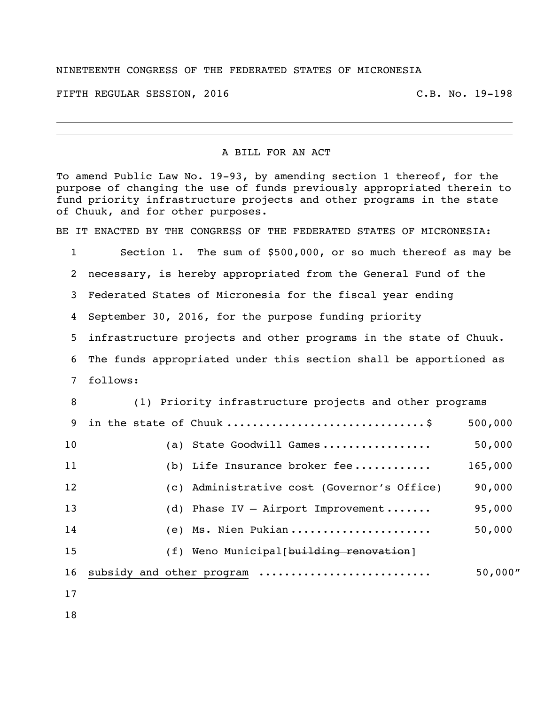## NINETEENTH CONGRESS OF THE FEDERATED STATES OF MICRONESIA

FIFTH REGULAR SESSION, 2016 C.B. No. 19-198

## A BILL FOR AN ACT

To amend Public Law No. 19-93, by amending section 1 thereof, for the purpose of changing the use of funds previously appropriated therein to fund priority infrastructure projects and other programs in the state of Chuuk, and for other purposes.

BE IT ENACTED BY THE CONGRESS OF THE FEDERATED STATES OF MICRONESIA:

 Section 1. The sum of \$500,000, or so much thereof as may be necessary, is hereby appropriated from the General Fund of the Federated States of Micronesia for the fiscal year ending September 30, 2016, for the purpose funding priority infrastructure projects and other programs in the state of Chuuk. The funds appropriated under this section shall be apportioned as follows: (1) Priority infrastructure projects and other programs in the state of Chuuk ...............................\$ 500,000 (a) State Goodwill Games ................. 50,000 (b) Life Insurance broker fee ............ 165,000 (c) Administrative cost (Governor's Office) 90,000 (d) Phase IV – Airport Improvement ....... 95,000 (e) Ms. Nien Pukian ...................... 50,000 15 (f) Weno Municipal [building renovation] subsidy and other program ........................... 50,000"